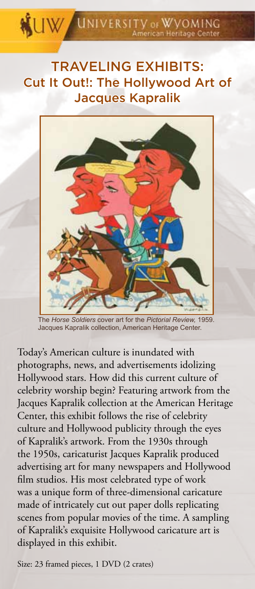# **WINDERSITY OF WYOMING**

## TRAVELING EXHIBITS: Cut It Out!: The Hollywood Art of Jacques Kapralik



The *Horse Soldiers* cover art for the *Pictorial Review,* 1959. Jacques Kapralik collection, American Heritage Center.

Today's American culture is inundated with photographs, news, and advertisements idolizing Hollywood stars. How did this current culture of celebrity worship begin? Featuring artwork from the Jacques Kapralik collection at the American Heritage Center, this exhibit follows the rise of celebrity culture and Hollywood publicity through the eyes of Kapralik's artwork. From the 1930s through the 1950s, caricaturist Jacques Kapralik produced advertising art for many newspapers and Hollywood film studios. His most celebrated type of work was a unique form of three-dimensional caricature made of intricately cut out paper dolls replicating scenes from popular movies of the time. A sampling of Kapralik's exquisite Hollywood caricature art is displayed in this exhibit.

Size: 23 framed pieces, 1 DVD (2 crates)